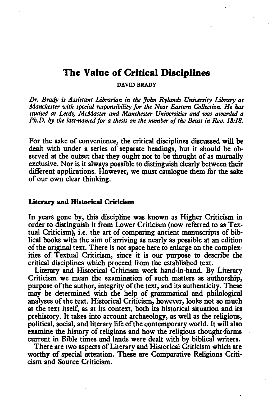# **The Value of Critical Disciplines**

DAVID BRADY

Dr. *Brady is Assistant Librarian in the John Rylands University Library at Manchester with special responsibility for the Near Eastern Collection. He* has studied at Leeds, McMaster and Manchester Universities and was awarded a *Ph.D. by the last-named for a thesis on the number of the Beast in Reo. 13:18.* 

For the sake of convenience, the critical disciplines discussed will be dealt with under a series of separate headings, but it should be observed at the outset that they ought not to be thought of as mutually exclusive. Nor is it always possible to distinguish clearly between their different applications. However, we must catalogue them for the sake of our own clear thinking.

### Literary and Historical Criticism

In years gone by, this discipline was known as Higher Criticism in order to distinguish it from Lower Criticism (now referred to as Textual Criticism), i.e. the art of comparing ancient manuscripts of biblical books with the aim of arriving as nearly as possible at an edition of the original text. There is not space here to enlarge on the complexities of Textual Criticism, since it is our purpose to describe the critical disciplines which proceed from the established text.

Literary and Historical Criticism work hand-in-hand. By Literary Criticism we mean the examination of such matters as authorship, purpose of the author, integrity of the text, and its authenticity. These may be determined with the help of grammatical and philological analyses of the text. Historical Criticism, however, looks not so much at the text itself, as at its context, both its historical situation and its prehistory. It takes into account archaeology, as well as the religious, political, social, and literary life of the contemporary world. It will also examine the history of religions and how the religious thought-forms current in Bible times and lands were dealt with by biblical writers.

There are two aspects of Literary and Historical Criticism which are worthy of special attention. These are Comparative Religions Criticism and Source Criticism.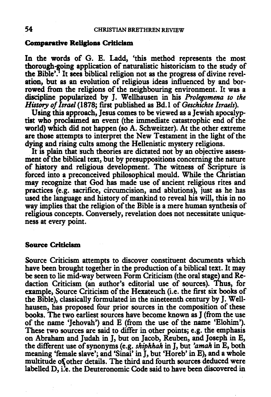### Comparative Religions Criticism

In the words of G. E. Ladd, 'this method represents the most thorough-going application of naturalistic historicism to the study of the Bible'. It sees biblical religion not as the progress of divine revelation, but as an evolution of religious ideas influenced by and borrowed from the religions of the neighbouring environment. It was a discipline popularized by J. Wellhausen in his *Prolegomena to the History of Israel* (1878; first published as Bd.l of *Geschichte Israels).* 

Using this approach, Jesus comes to be viewed as a Jewish apocalyptist who proclaimed an event (the immediate catastrophic end of the world) which did not happen (so A. Schweitzer). At the other extreme are those attempts to interpret the New Testament in the light of the dying and rising cults among the Hellenistic mystery religions.

It is plain that such theories are dictated not by an objective assessment of the biblical text, but by presuppositions concerning the nature of history and religious development. The witness of Scripture is forced into a preconceived philosophical mould. While the Christian may recognize that God has made use of ancient religious rites and practices (e.g. sacrifice, circumcision, and ablutions), just as he has used the language and history of mankind to reveal his will, this in no way implies that the religion of the Bible is a mere human synthesis of religious concepts. Conversely, revelation does not necessitate uniqueness at every point.

#### Source Criticism

Source Criticism attempts to discover constituent documents which have been brought together in the production of a biblical text. It may be seen to lie mid-way between Form Criticism (the oral stage) and Redaction Criticism (an author's editorial use of sources). Thus, for example, Source Criticism of the Hexateuch (i.e. the first six books of the Bible), classically formulated in the nineteenth century by J. Wellhausen, has proposed four prior sources in the composition of these books. The two earliest sources have become known as J (from the use of the name 'Jehovah') and E (from the use of the name 'Elohim'). These two sources are said to differ in other points; e.g. the emphasis on Abraham and Judah in J, but on Jacob, Reuben, and Joseph in E, the different use of synonyms (e.g. *shiphhah* in J, but *'amah* in E, both meaning 'female slave'; and 'Sinai' in J, but 'Horeb' in E), and a whole multitude oS other details. The third and fourth sources deduced were labelled D, i.'e. the Deuteronomic Code said to have been discovered in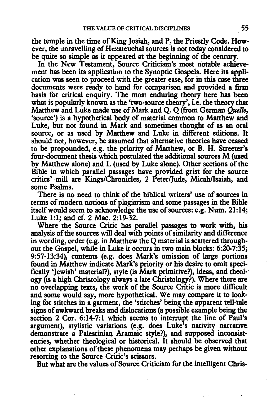the temple in the time of King Josiah, and P, the Priestly Code. However, the unravelling of Hexateuchal sources is not today considered to be quite so simple as it appeared at the beginning of the century.

In the New Testament, Source Criticism's most notable achievement has been its application to the Synoptic Gospels. Here its application was seen to proceed with the greater ease, for in this case three documents were ready to hand for comparison and provided a firm basis for critical enquiry. The most enduring theory here has been what is popularly known as the 'two-source theory', i.e. the theory that Matthew and Luke made use of Mark and Q. Q (from German *Quelle*, 'source') is a hypothetical body of material common to Matthew and Luke, but not found in Mark and sometimes thought of as an oral source, or as used by Matthew and Luke in different editions. It should not, however, be assumed that alternative theories have ceased to be propounded, e.g. the priority of Matthew, or B. H. Streeter's four-document thesis which postulated the additional sources M (used by Matthew alone) and L (used by Luke alone). Other sections of the Bible in which parallel passages have provided grist for the source critics' mill are Kings/Chronicles, 2 Peter/Jude, Micah/Isaiah, and some Psalms.

There is no need to think of the biblical writers' use of sources in terms of modem notions of plagiarism and some passages in the Bible itself would seem to acknowledge the use of sources: e.g. Num. 21:14; Luke 1:1; and cf. 2 Mac. 2:19-32.

Where the Source Critic has parallel passages to work with, his analysis of the sources will deal with points of similarity and difference in wording, order (e.g. in Matthew the Q material is scattered throughout the Gospel, while in Luke it occurs in two main blocks: 6:20-7:35; 9:57-13:34), contents (e.g. does Mark's omission of large portions found in Matthew indicate Mark's priority or his desire to omit specifically 'Jewish' material?), style (is Mark primitive?), ideas, and theol- ogy (is a high Christology always a late Christology?). Where there are no overlapping texts, the work of the Source Critic is more difficult and some would say, more hypothetical. We may compare it to looking for stitches in a garment, the 'stitches' being the apparent tell-tale signs of awkward breaks and dislocations (a possible example being the section 2 Cor. 6:14-7:1 which seems to interrupt the line of Paul's argument), stylistic variations (e.g. does Luke's nativity narrative demonstrate a Palestinian Aramaic style?), and supposed inconsistencies, whether theological or historical. It should be observed that other explanations of these phenomena may perhaps be given without resoning to the Source Critic's scissors.

But what are the values of Source Criticism for the intelligent Chris-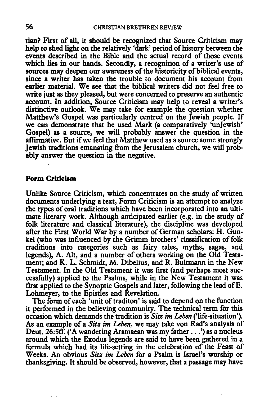tian? First of all, it should be recognized that Source Criticism may help to shed light on the relatively 'dark' period of history between the events described in the Bible and the actual record of those events which lies in our hands. Secondly, a recognition of a writer's use of sources may deepen our awareness of the historicity of biblical events, since a writer has taken the trouble to document his account from earlier material. We see that the biblical writers did not feel free to write just as they pleased, but were concerned to preserve an authentic account. In addition, Source Criticism may help to reveal a writer's distinctive outlook. We may take for example the question whether Matthew's Gospel was particularly centred on the Jewish people. If we can demonstrate that he used Mark (a comparatively 'unJewish' Gospel) as a source, we will probably answer the question in the affirmative. But if we feel that Matthew used as a source some strongly Jewish traditions emanating from the Jerusalem church, we will probably answer the question in the negative.

## Form Criticism

Unlike Source Criticism, which concentrates on the study of written documents underlying a text, Form Criticism is an attempt to analyze the types of oral traditions which have been incorporated into an ultimate literary work. Although anticipated earlier (e.g. in the study of folk literature and classical literature), the discipline was developed after the First World War by a number of German scholars: H. Gunkel (who was influenced by the Grimm brothers' classification of folk traditions into categories such as fairy tales, myths, sagas, and legends), A. Alt, and a number of others working on the Old Testament; and K. L. Schmidt, M. Dibelius, and R. Bultmann in the New Testament. In the Old Testament it was first (and perhaps most successfully) applied to the Psalms, while in the New Testament it was first applied to the Synoptic Gospels and later, following the lead of E. Lohmeyer, to the Epistles and Revelation.

The form of each 'unit of traditon' is said to depend on the function it performed in the believing community. The technical term for this occasion which demands the tradition is *Sitz im Leben* ('life-situation'). As an example of a *Sitz im Leben,* we may take von Rad's analysis of Deut. 26:5ff. ('A wandering Aramaean was my father ... ') as a nucleus around which the Exodus legends are said to have been gathered in a formula which had its life-setting in the celebration of the Feast of Weeks. An obvious *Sitz im Leben* for a Psalm is Israel's worship or thanksgiving. It should be observed, however, that a passage may have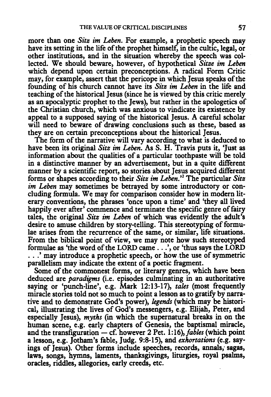more than one *Sitz im Leben.* For example, a prophetic speech may have its setting in the life of the prophet himself, in the cultic, legal, or other institutions, and in the situation whereby the speech was collected. We should beware, however, of hypothetical *Sitze im Leben*  which depend upon certain preconceptions. A radical Form Critic may, for example, assert that the pericope in which Jesus speaks of the founding of his church cannot have its *Sitz im Leben* in the life and teaching of the historical Jesus (since he is viewed by this critic merely as an apocalyptic prophet to the Jews), but rather in the apologetics of the Christian church, which was anxious to vindicate its existence by appeal to a supposed saying of the historical Jesus. A careful scholar will need to beware of drawing conclusions such as these, based as they are on certain preconceptions about the historical Jesus.

The form of the narrative will vary according to what is deduced to have been its original *Sitz im Leben.* As S. H. Travis puts it, 'Just as information about the qualities of a particular toothpaste will be told in a distinctive manner by an advertisement, but in a quite different manner by a scientific report, so stories about Jesus acquired different forms or shapes according to their *Sitz im Leben.* ' 2 The particular *Sitz im Leben* may sometimes be betrayed by some introductory or concluding formula. We may for comparison consider how in modern literary conventions, the phrases 'once upon a time' and 'they all lived happily ever after' commence and terminate the specific genre of fairy tales, the original *Sitz im Leben* of which was evidently the adult's desire to amuse children by story-telling. This stereotyping of formulae arises from the recurrence of the same, or similar, life situations. From the biblical point of view, we may note how such stereotyped formulae as 'the word of the LORD came ... ', or 'thus says the LORD . . . ' may introduce a prophetic speech, or how. the use of symmetric parallelism may indicate the extent of a poetic fragment.

Some of the commonest forms, or literary genres, which have been deduced are *paradigms* (i.e. episodes culminating in an authoritative saying or 'punch-line', e.g. Mark 12:13-17), *tales* (most frequently miracle stories told not so much to point a lesson as to gratify by narrative and to demonstrate God's power), *legends* (which may be historical, illustrating the lives of God's messengers, e.g. Elijah, Peter, and especially Jesus), *myths* (in which the supernatural breaks in on the human scene, e.g. early chapters of Genesis, the baptismal miracle, and the transfiguration - cf. however 2 Pet. 1:16), *fables* (which point a lesson, e.g. Jotham's fable, Judg. 9:8-15), and *exhortations* (e.g. sayings of Jesus). Other forms include speeches, records, annals; sagas, laws, songs, hymns, laments, thanksgivings, liturgies, royal psalms, oracles, riddles, allegories, early creeds, etc.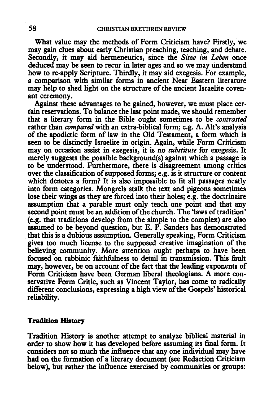What value may the methods of Form Criticism have? Firstly, we may gain clues about early Christian preaching, teaching, and debate. Secondly, it may aid hermeneutics, since the *Sitze im Leben* once deduced may be seen to recur in later ages and so we may understand how to re-apply Scripture. Thirdly, it may aid exegesis. For example, a comparison with similar forms in ancient Near Eastern literature may help to shed light on the structure of the ancient Israelite covenant ceremony.

Against these advantages to be gained, however, we must place certain reservations. To balance the last point made, we should remember that a literary form in the Bible ought sometimes to be *contrasted*  rather than *compared* with an extra-biblical form; e.g. A. Alt's analysis of the apodictic form of law in the Old Testament, a form which is seen to be distinctly Israelite in origin. Again, while Form Criticism may on occasion assist in exegesis, it is no *substitute* for exegesis. It merely suggests the possible background(s) against which a passage is to be understood. Furthermore, there is disagreement among critics over the classification of supposed forms; e.g. is it structure or content which denotes a form? It is also impossible to fit all passages neatly into form categories. Mongrels stalk the text and pigeons sometimes lose their wings as they are forced into their holes; e.g. the doctrinaire assumption that a parable must only teach one point and that any second point must be an addition of the church. The 'laws of tradition' (e.g. that traditions develop from the simple to the complex) are also assumed to be beyond question, but E. P. Sanders has demonstrated that this is a dubious assumption. Generally speaking, Form Criticism gives too much license to the supposed creative imagination of the believing community. More attention ought perhaps to have been focused on rabbinic faithfulness to detail in transmission. This fault may, however, be on account of the fact that the leading exponents of Form Criticism have been German liberal theologians. A more conservative Form Critic, such as Vincent Taylor, has come to radically different conclusions, expressing a high view of the Gospels' historical reliability.

#### **Tradition History**

Tradition History is another attempt to analyze biblical material in order to show how it has developed before assuming its fmal form. It considers not so much the influence that any one individual may have had on the formation of a literary document (see Redaction Criticism below), but rather the influence exercised by communities or groups: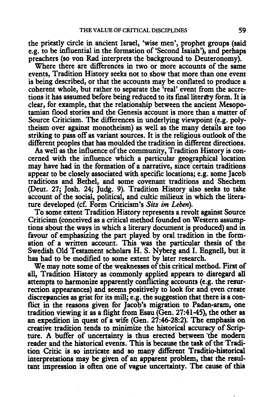the priestly circle in ancient Israel, 'wise men', prophet groups (said e.g. to be influential in the formation of 'Second Isaiah'), and perhaps preachers (so von Rad interprets the background to Deuteronomy).

Where there are differences in two or more accounts of the same events, Tradition History seeks not to show that more than one event is being described, or that the accounts may be conflated to produce a coherent whole, but rather to separate the 'real' event from the accretions it has assumed before being reduced to its final literary form. It is clear, for example, that the relationship between the ancient Mesopotamian flood stories and the Genesis account is more than a matter of Source Criticism. The differences in underlying viewpoint (e.g. polytheism over against monotheism) as well as the many details are too striking to pass off as variant sources. It is the religious outlook of the different peoples that has moulded the tradition in different directions.

As well as the influence of the community, Tradition History is concerned with the influence which a particular geographical location may have had in the formation of a narrative, since certain traditions appear to be closely associated with specific locations; e.g. some Jacob traditions and Bethel, and some covenant traditions and Shechem (Deut. 27; Josh. 24; Judg. 9). Tradition History also seeks to take account of the social, political, and cultic milieux in which the literature developed (cf. Form Criticism's *Sitz im Leben).* 

To some extent Tradition History represents a revolt against Source Criticism (conceived as a critical method founded on Western assumptions about the ways in which a literary document is produced) and in favour of emphasizing the part played by oral tradition in the formation of a written account. This was the particular thesis of the Swedish Old Testament scholars H. S. Nyberg and I. Engnell, but it has had to be modified to some extent by later research.

We may note some of the weaknesses of this critical method. First of all, Tradition History as commonly applied appears to disregard all attempts to harmonize apparently conflicting accounts (e.g. the resurrection appearances) and seems positively to look for and even create discrepancies as grist for its mill; e.g. the suggestion that there is a conflict in the reasons given for Jacob's migration to Padan-aram, one tradition viewing it as a flight from Esau (Gen. 27:41-45), the other as an expedition in quest of a wife (Gen. 27:46-28:2): The emphasis on creative tradition tends to minimize the historical accuracy of Scripture. A buffer of uncertainty is thus erected between "the modem reader and the historical events. This is because the task of the Tradition Critic is so intricate and so many different Traditio•historical interpretations may be given of an apparent problem, that the resultant impression is often one of vague uncertainty. The cause of this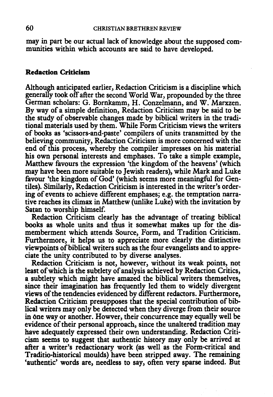may in part be our actual lack of knowledge about the supposed communities within which accounts are said to have developed.

## Redaction Criticism

Although anticipated earlier, Redaction Criticism is a discipline which generally took off after the second World War, propounded by the three German scholars: G. Bornkamm, H. Conzelmann, and W. Marxzen. By way of a simple definition, Redaction Criticism may be said to be the study of observable changes made by biblical writers in the traditional materials used by them. While Form Criticism views the writers of books as 'scissors-and-paste' compilers of units transmitted by the believing community, Redaction Criticism is more concerned with the end of this process, whereby the compiler impresses on his material his own personal interests and emphases. To take a simple example, Matthew favours the expression 'the kingdom of the heavens' (which may have been more suitable to Jewish readers), while Mark and Luke favour 'the kingdom of God' (which seems more meaningful for Gentiles). Similarly, Redaction Criticism is interested in the writer's ordering of events to achieve different emphases; e.g. the temptation narrative reaches its climax in Matthew (unlike Luke) with the invitation by Satan to worship himself.

Redaction Criticism clearly has the advantage of treating biblical books as whole units and thus it somewhat makes up for the dismemberment which attends Source, Form, and Tradition Criticism. Furthermore, it helps us to appreciate more clearly the distinctive viewpoints of biblical writers such as the four evangelists and to appreciate the unity contributed to by diverse analyses.

Redaction Criticism is not, however, without its weak points, not least of which is the subtlety of analysis achieved by Redaction Critics, a subtlety which might have amazed the biblical writers themselves, since their imagination has frequently led them to widely divergent views of the tendencies evidenced by different redactors. Furthermore, Redaction Criticism presupposes that the special contribution of biblical writers may only be detected when they diverge from their source in one way or another. Howver, their concurrence may equally well be evidence of their personal approach, since the unaltered tradition may have adequately expressed their own understanding. Redaction Criticism seems to suggest that authentic history may only be arrived at after a writer's redactionary work (as well as the Form-critical and Traditio-historical moulds) have been stripped away. The remaining 'authentic' words are, needless to say, often very sparse indeed. But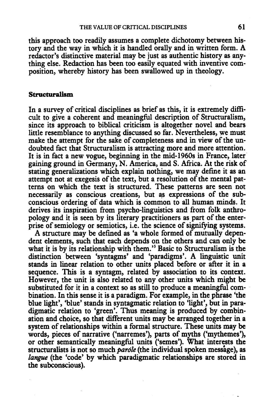this approach too readily assumes a complete dichotomy between history and the way in which it is handled orally and in written form. A redactor's distinctive material may be just as authentic history as anything else. Redaction has been too easily equated with inventive composition, whereby history has been swallowed up in theology.

### Structuralism

In a survey of critical disciplines as brief as this, it is extremely difficult to give a coherent and meaningful description of Structuralism, since its approach to biblical criticism is altogether novel and bears little resemblance to anything discussed so far. Nevenheless, we must make the attempt for the sake of completeness and in view of the undoubted fact that Structuralism is attracting more and more attention. It is in fact a new vogue, beginning in the mid-1960s in France, later gaining ground in Germany, N. America, and S. Africa. At the risk of stating generalizations which explain nothing, we may define it as an attempt not at exegesis of the text, but a resolution of the mental patterns on which the text is structured. These patterns are seen not necessarily as conscious creations, but as expressions of the subconscious ordering of data which is common to all human minds. It derives its inspiration from psycho-linguistics and from folk anthropology and it is seen by its literary practitioners as part of the enterprise of semiology or semiotics, i.e. the science of signifying systems.

A structure may be defined as 'a whole formed of mutually dependent elements, such that each depends on the others and can only be what it is by its relationship with them.'3 Basic to Structuralism is the distinction between 'syntagms' and 'paradigms'. A linguistic unit stands in linear relation to other units placed before or after it in a sequence. This is a syntagm, related by association to its context. However, the unit is also related to any other units which might be substituted for it in a context so as still to produce a meaningful combination. In this sense it is a paradigm. For example, in the phrase 'the blue light', 'blue' stands in syntagmatic relation to 'light', but in paradigmatic relation to 'green'. Thus meaning is produced by combination and choice, so that different units may be arranged together in a system of relationships within a formal structure. These units may be words, pieces of narrative ('narremes'), parts of myths ('mythemes'), or other semantically meaningful units ('semes'). What interests the structuralists is not so much *parole* (the individual spoken message), as *langue* (the 'code' by which paradigmatic relationships are stored in the subconscious).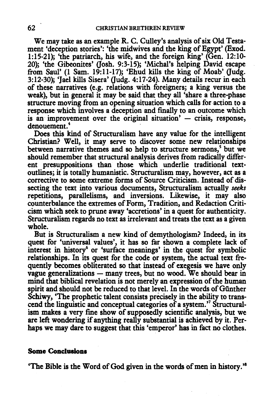We may take as an example R. C. Culley's analysis of six Old Testament 'deception stories': 'the midwives and the king of Egypt' (Exod. 1:15-21); 'the patriarch, his wife, and the foreign king' (Gen. 12:10- 20); 'the Gibeonites' (Josh. 9:3-15); 'Michal's helping David escape from Saul' (1 Sam. 19:11-17); 'Ehud kills the king of Moab' (Judg. 3:12-30); 'Jael kills Sisera' (Judg. 4:17-24). Many details recur in each of these narratives (e.g. relations with foreigners; a king versus the weak), but in general it may be said that they all 'share a three-phase structure moving from an opening situation which calls for action to a response which involves a deception and finally to an outcome which is an improvement over the original situation' - crisis, response, denouement.<sup>4</sup>

Does this kind of Structuralism have any value for the intelligent Christian? Well, it may serve to discover some new relationships between narrative themes and so help to structure sermons,<sup>5</sup> but we should remember that structural analysis derives from radically different presuppositions than those which underlie traditional textoutlines; it is totally humanistic. Structuralism may, however, act as a corrective to some extreme forms of Source Criticism. Instead of dissecting the text into various documents, Structuralism actually *seeks*  repetitions, parallelisms, and inversions. Likewise, it may also counterbalance the extremes of Form, Tradition, and Redaction Criticism which seek to prune away 'accretions' in a quest for authenticity. Structuralism regards no text as irrelevant and treats the text as a given whole.

But is Structuralism a new kind of demythologism? Indeed, in its quest for 'universal values', it has so far shown a complete lack of interest in history<sup>6</sup> or 'surface meanings' in the quest for symbolic relationships. In its quest for the code or system, the actual text frequently becomes obliterated so that instead of exegesis we have only vague generalizations - many trees, but no wood. We should bear in mind that biblical revelation is not merely an expression of the human spirit and should not be reduced to that level. In the words of Günther Schiwy, 'The prophetic talent consists precisely in the ability to transcend the linguistic and conceptual categories of a system. ' 7 Structuralism makes a very fine show of supposedly scientific analysis, but we are left wondering if anything really substantial is achieved by it. Perhaps we may dare to suggest that this 'emperor' has in fact no clothes.

#### **Some Conclusions**

'The Bible is the Word of God given in the words of men in history.'8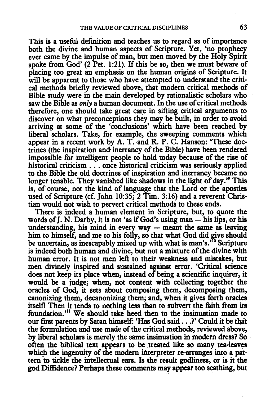This is a useful definition and teaches us to regard as of importance both the divine and human aspects of Scripture. Yet, 'no prophecy ever came by the impulse of man, but men moved by the Holy Spirit spoke from God' (2 Pet. 1:21). If this be so, then we must beware of placing too great an emphasis on the human origins of Scripture. It will be apparent to those who have attempted to understand the critical methods briefly reviewed above, that modem critical methods of Bible study were in the main developed by rationalistic scholars who saw the Bible as *only* a human document. In the use of critical methods therefore, one should take great care in sifting critical arguments to discover on what preconceptions they may be built, in order to avoid arriving at some of the 'conclusions' which have been reached by liberal scholars. Take, for example, the sweeping comments which appear in a recent work by A. T. and R. P. C. Hanson: 'These doctrines (the inspiration and inerrancy of the Bible) have been rendered impossible for intelligent people to hold today because of the rise of historical criticism . . . once historical criticism was seriously applied to the Bible the old doctrines of inspiration and inerrancy became no longer tenable. They vanished like shadows in the light of day.'<sup>9</sup> This is, of course, not the kind of language that the Lord or the apostles used of Scripture (cf. John 10:35; 2 Tim. 3:16) and a reverent Christian would not wish to perven critical methods to these ends.

There is indeed a human element in Scripture, but, to quote the words of  $I$ . N. Darby, it is not 'as if God's using man  $-$  his lips, or his understanding, his mind in every way  $-$  meant the same as leaving him to himself, and me to his folly, so that what God did give should be uncertain, as inescapably mixed up with what is man's.<sup> $10$ </sup> Scripture is indeed both human and divine, but not a mixture of the divine with human error. It is not men left to their weakness and mistakes, but men divinely inspired and sustained against error. 'Critical science does not keep its place when, instead of being a scientific inquirer, it would be a judge; when, not content with collecting together the oracles of God, it sets about composing them, decomposing them, canonizing them, decanonizing them; and, when it gives fonh oracles itself! Then it tends to nothing less than to subvert the faith from its foundation.'<sup>11</sup> We should take heed then to the insinuation made to our first parents by Satan himself: 'Has God said ... ?' Could it be that the formulation and use made of the critical methods, reviewed above, by liberal scholars is merely the same insinuation in modem dress? So often the biblical text appears to be treated like so many tea-leaves which the ingenuity of the modern interpreter re-arranges into a pattern to tickle the intellectual ears. Is the result godliness, or is it the god Diffidence? Perhaps these comments may appear too scathing, but